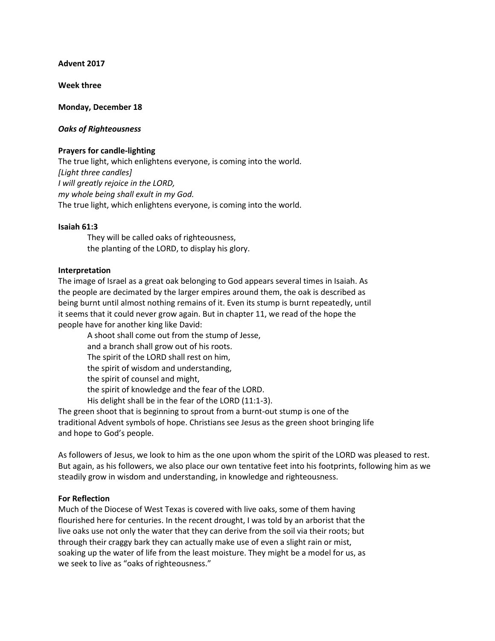**Advent 2017**

**Week three**

# **Monday, December 18**

## *Oaks of Righteousness*

## **Prayers for candle-lighting**

The true light, which enlightens everyone, is coming into the world. *[Light three candles] I will greatly rejoice in the LORD, my whole being shall exult in my God.* The true light, which enlightens everyone, is coming into the world.

## **Isaiah 61:3**

They will be called oaks of righteousness, the planting of the LORD, to display his glory.

## **Interpretation**

The image of Israel as a great oak belonging to God appears several times in Isaiah. As the people are decimated by the larger empires around them, the oak is described as being burnt until almost nothing remains of it. Even its stump is burnt repeatedly, until it seems that it could never grow again. But in chapter 11, we read of the hope the people have for another king like David:

A shoot shall come out from the stump of Jesse, and a branch shall grow out of his roots. The spirit of the LORD shall rest on him, the spirit of wisdom and understanding, the spirit of counsel and might, the spirit of knowledge and the fear of the LORD. His delight shall be in the fear of the LORD (11:1-3).

The green shoot that is beginning to sprout from a burnt-out stump is one of the traditional Advent symbols of hope. Christians see Jesus as the green shoot bringing life and hope to God's people.

As followers of Jesus, we look to him as the one upon whom the spirit of the LORD was pleased to rest. But again, as his followers, we also place our own tentative feet into his footprints, following him as we steadily grow in wisdom and understanding, in knowledge and righteousness.

# **For Reflection**

Much of the Diocese of West Texas is covered with live oaks, some of them having flourished here for centuries. In the recent drought, I was told by an arborist that the live oaks use not only the water that they can derive from the soil via their roots; but through their craggy bark they can actually make use of even a slight rain or mist, soaking up the water of life from the least moisture. They might be a model for us, as we seek to live as "oaks of righteousness."